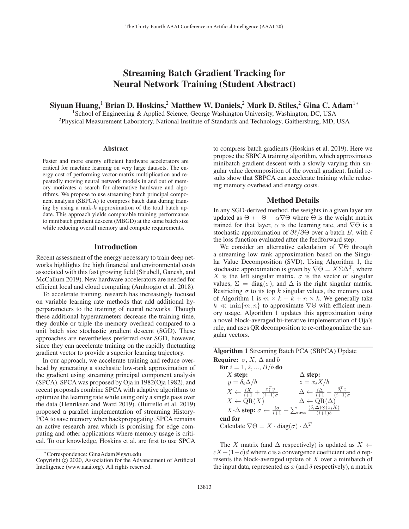# Streaming Batch Gradient Tracking for Neural Network Training (Student Abstract)

Siyuan Huang,<sup>1</sup> Brian D. Hoskins,<sup>2</sup> Matthew W. Daniels,<sup>2</sup> Mark D. Stiles,<sup>2</sup> Gina C. Adam<sup>1</sup><sup>∗</sup>

<sup>1</sup>School of Engineering & Applied Science, George Washington University, Washington, DC, USA 2Physical Measurement Laboratory, National Institute of Standards and Technology, Gaithersburg, MD, USA

#### **Abstract**

Faster and more energy efficient hardware accelerators are critical for machine learning on very large datasets. The energy cost of performing vector-matrix multiplication and repeatedly moving neural network models in and out of memory motivates a search for alternative hardware and algorithms. We propose to use streaming batch principal component analysis (SBPCA) to compress batch data during training by using a rank- $k$  approximation of the total batch update. This approach yields comparable training performance to minibatch gradient descent (MBGD) at the same batch size while reducing overall memory and compute requirements.

### Introduction

Recent assessment of the energy necessary to train deep networks highlights the high financial and environmental costs associated with this fast growing field (Strubell, Ganesh, and McCallum 2019). New hardware accelerators are needed for efficient local and cloud computing (Ambrogio et al. 2018).

To accelerate training, research has increasingly focused on variable learning rate methods that add additional hyperparameters to the training of neural networks. Though these additional hyperarameters decrease the training time, they double or triple the memory overhead compared to a unit batch size stochastic gradient descent (SGD). These approaches are nevertheless preferred over SGD, however, since they can accelerate training on the rapidly fluctuating gradient vector to provide a superior learning trajectory.

In our approach, we accelerate training and reduce overhead by generating a stochastic low-rank approximation of the gradient using streaming principal component analysis (SPCA). SPCA was proposed by Oja in 1982(Oja 1982), and recent proposals combine SPCA with adaptive algorithms to optimize the learning rate while using only a single pass over the data (Henriksen and Ward 2019). (Burrello et al. 2019) proposed a parallel implementation of streaming History-PCA to save memory when backpropagating. SPCA remains an active research area which is promising for edge computing and other applications where memory usage is critical. To our knowledge, Hoskins et al. are first to use SPCA

to compress batch gradients (Hoskins et al. 2019). Here we propose the SBPCA training algorithm, which approximates minibatch gradient descent with a slowly varying thin singular value decomposition of the overall gradient. Initial results show that SBPCA can accelerate training while reducing memory overhead and energy costs.

#### Method Details

In any SGD-derived method, the weights in a given layer are updated as  $\Theta \leftarrow \Theta - \alpha \nabla \Theta$  where  $\Theta$  is the weight matrix trained for that layer,  $\alpha$  is the learning rate, and  $\nabla\Theta$  is a stochastic approximation of  $\partial \ell/\partial \Theta$  over a batch B, with  $\ell$ the loss function evaluated after the feedforward step.

We consider an alternative calculation of  $\nabla\Theta$  through a streaming low rank approximation based on the Singular Value Decomposition (SVD). Using Algorithm 1, the stochastic approximation is given by  $\nabla \Theta = X \Sigma \Delta^T$ , where X is the left singular matrix,  $\sigma$  is the vector of singular values,  $\Sigma = \text{diag}(\sigma)$ , and  $\Delta$  is the right singular matrix. Restricting  $\sigma$  to its top k singular values, the memory cost of Algorithm 1 is  $m \times k + k + n \times k$ . We generally take  $k \ll \min\{m, n\}$  to approximate  $\nabla\Theta$  with efficient memory usage. Algorithm 1 updates this approximation using a novel block-averaged bi-iterative implementation of Oja's rule, and uses QR decomposition to re-orthogonalize the singular vectors.

| <b>Algorithm 1 Streaming Batch PCA (SBPCA) Update</b>                                                                         |                                                                            |  |  |  |  |
|-------------------------------------------------------------------------------------------------------------------------------|----------------------------------------------------------------------------|--|--|--|--|
| <b>Require:</b> $\sigma$ , <i>X</i> , $\Delta$ and <i>b</i>                                                                   |                                                                            |  |  |  |  |
| for $i = 1, 2, , B/b$ do                                                                                                      |                                                                            |  |  |  |  |
| $X$ step:                                                                                                                     | $\Delta$ step:                                                             |  |  |  |  |
| $y = \delta_i \Delta/b$                                                                                                       | $z = x_i X/b$                                                              |  |  |  |  |
| $X \leftarrow \frac{iX}{i+1} + \frac{x_i^T y}{(i+1)\sigma}$                                                                   | $\Delta \leftarrow \frac{i\Delta}{i+1} + \frac{\delta_i^T z}{(i+1)\sigma}$ |  |  |  |  |
| $X \leftarrow \text{QR}(X)$                                                                                                   | $\Delta \leftarrow \text{QR}(\Delta)$                                      |  |  |  |  |
| X- $\Delta$ step: $\sigma \leftarrow \frac{i\sigma}{i+1} + \sum_{\text{rows}} \frac{(\delta_i \Delta) \odot (x_i X)}{(i+1)b}$ |                                                                            |  |  |  |  |
| end for                                                                                                                       |                                                                            |  |  |  |  |
| Calculate $\nabla \Theta = X \cdot \text{diag}(\sigma) \cdot \Delta^T$                                                        |                                                                            |  |  |  |  |

The X matrix (and  $\Delta$  respectively) is updated as  $X \leftarrow$  $cX+(1-c)d$  where c is a convergence coefficient and d represents the block-averaged update of X over a minibatch of the input data, represented as  $x$  (and  $\delta$  respectively), a matrix

<sup>∗</sup>Correspondence: GinaAdam@gwu.edu

Copyright  $\odot$  2020, Association for the Advancement of Artificial Intelligence (www.aaai.org). All rights reserved.